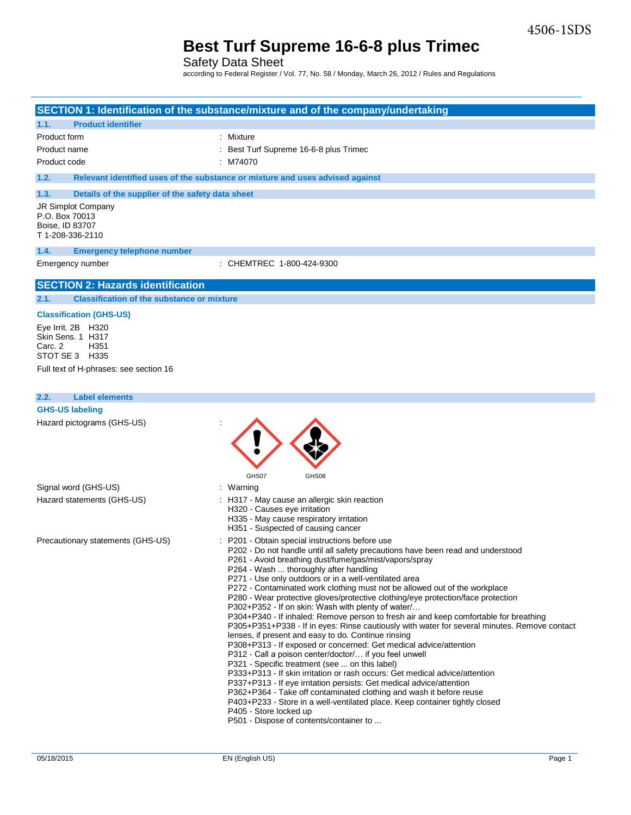Safety Data Sheet

according to Federal Register / Vol. 77, No. 58 / Monday, March 26, 2012 / Rules and Regulations

|                                                           | SECTION 1: Identification of the substance/mixture and of the company/undertaking                                                                                                     |
|-----------------------------------------------------------|---------------------------------------------------------------------------------------------------------------------------------------------------------------------------------------|
| <b>Product identifier</b><br>1.1.                         |                                                                                                                                                                                       |
| Product form                                              | : Mixture                                                                                                                                                                             |
| Product name                                              | Best Turf Supreme 16-6-8 plus Trimec                                                                                                                                                  |
| Product code                                              | : M74070                                                                                                                                                                              |
| 1.2.                                                      | Relevant identified uses of the substance or mixture and uses advised against                                                                                                         |
| 1.3.<br>Details of the supplier of the safety data sheet  |                                                                                                                                                                                       |
| <b>JR Simplot Company</b>                                 |                                                                                                                                                                                       |
| P.O. Box 70013<br>Boise, ID 83707                         |                                                                                                                                                                                       |
| T 1-208-336-2110                                          |                                                                                                                                                                                       |
| 1.4.<br><b>Emergency telephone number</b>                 |                                                                                                                                                                                       |
| Emergency number                                          | : CHEMTREC 1-800-424-9300                                                                                                                                                             |
| <b>SECTION 2: Hazards identification</b>                  |                                                                                                                                                                                       |
| <b>Classification of the substance or mixture</b><br>2.1. |                                                                                                                                                                                       |
| <b>Classification (GHS-US)</b>                            |                                                                                                                                                                                       |
| Eye Irrit. 2B H320                                        |                                                                                                                                                                                       |
| Skin Sens. 1 H317                                         |                                                                                                                                                                                       |
| Carc. 2<br>H <sub>351</sub><br>STOT SE 3 H335             |                                                                                                                                                                                       |
| Full text of H-phrases: see section 16                    |                                                                                                                                                                                       |
|                                                           |                                                                                                                                                                                       |
|                                                           |                                                                                                                                                                                       |
| <b>Label elements</b><br>2.2.                             |                                                                                                                                                                                       |
| <b>GHS-US labeling</b>                                    |                                                                                                                                                                                       |
| Hazard pictograms (GHS-US)                                |                                                                                                                                                                                       |
|                                                           |                                                                                                                                                                                       |
|                                                           |                                                                                                                                                                                       |
|                                                           |                                                                                                                                                                                       |
|                                                           | GHS07<br>GHS08                                                                                                                                                                        |
| Signal word (GHS-US)                                      | : Warning                                                                                                                                                                             |
| Hazard statements (GHS-US)                                | : H317 - May cause an allergic skin reaction<br>H320 - Causes eye irritation                                                                                                          |
|                                                           | H335 - May cause respiratory irritation                                                                                                                                               |
|                                                           | H351 - Suspected of causing cancer                                                                                                                                                    |
| Precautionary statements (GHS-US)                         | : P201 - Obtain special instructions before use                                                                                                                                       |
|                                                           | P202 - Do not handle until all safety precautions have been read and understood<br>P261 - Avoid breathing dust/fume/gas/mist/vapors/spray                                             |
|                                                           | P264 - Wash  thoroughly after handling                                                                                                                                                |
|                                                           | P271 - Use only outdoors or in a well-ventilated area                                                                                                                                 |
|                                                           | P272 - Contaminated work clothing must not be allowed out of the workplace<br>P280 - Wear protective gloves/protective clothing/eye protection/face protection                        |
|                                                           | P302+P352 - If on skin: Wash with plenty of water                                                                                                                                     |
|                                                           | P304+P340 - If inhaled: Remove person to fresh air and keep comfortable for breathing<br>P305+P351+P338 - If in eyes: Rinse cautiously with water for several minutes. Remove contact |
|                                                           | lenses, if present and easy to do. Continue rinsing                                                                                                                                   |
|                                                           | P308+P313 - If exposed or concerned: Get medical advice/attention                                                                                                                     |
|                                                           | P312 - Call a poison center/doctor/ if you feel unwell                                                                                                                                |
|                                                           | P321 - Specific treatment (see  on this label)<br>P333+P313 - If skin irritation or rash occurs: Get medical advice/attention                                                         |
|                                                           | P337+P313 - If eye irritation persists: Get medical advice/attention                                                                                                                  |
|                                                           | P362+P364 - Take off contaminated clothing and wash it before reuse                                                                                                                   |
|                                                           | P403+P233 - Store in a well-ventilated place. Keep container tightly closed<br>P405 - Store locked up                                                                                 |
|                                                           |                                                                                                                                                                                       |
|                                                           | P501 - Dispose of contents/container to                                                                                                                                               |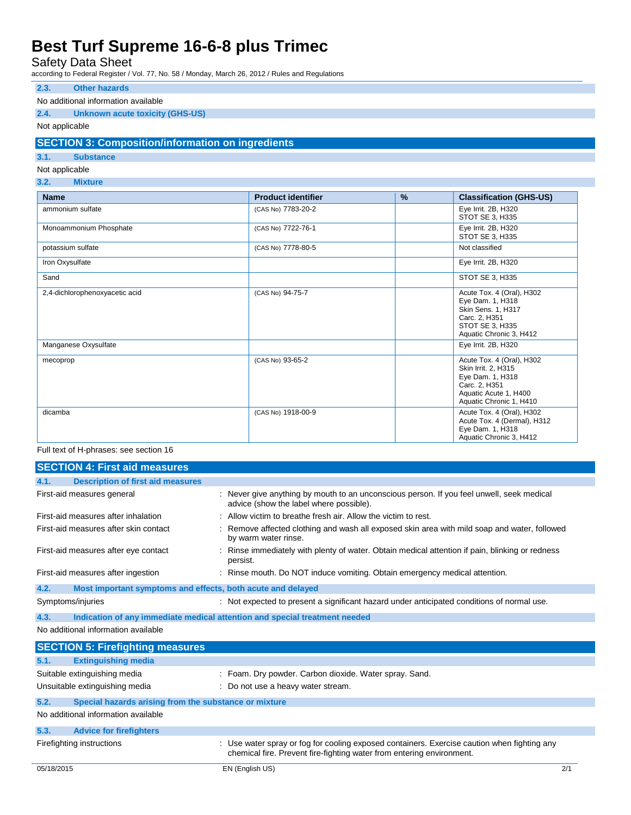Safety Data Sheet

according to Federal Register / Vol. 77, No. 58 / Monday, March 26, 2012 / Rules and Regulations

### **2.3. Other hazards**

#### No additional information available

### **2.4. Unknown acute toxicity (GHS-US)**

### Not applicable

### **SECTION 3: Composition/information on ingredients**

### **3.1. Substance**

Not applicable

**3.2. Mixture**

| <b>Name</b>                    | <b>Product identifier</b> | % | <b>Classification (GHS-US)</b>                                                                                                            |
|--------------------------------|---------------------------|---|-------------------------------------------------------------------------------------------------------------------------------------------|
| ammonium sulfate               | (CAS No) 7783-20-2        |   | Eye Irrit. 2B, H320<br>STOT SE 3, H335                                                                                                    |
| Monoammonium Phosphate         | (CAS No) 7722-76-1        |   | Eye Irrit. 2B, H320<br>STOT SE 3. H335                                                                                                    |
| potassium sulfate              | (CAS No) 7778-80-5        |   | Not classified                                                                                                                            |
| Iron Oxysulfate                |                           |   | Eye Irrit. 2B, H320                                                                                                                       |
| Sand                           |                           |   | STOT SE 3, H335                                                                                                                           |
| 2,4-dichlorophenoxyacetic acid | (CAS No) 94-75-7          |   | Acute Tox. 4 (Oral), H302<br>Eye Dam. 1, H318<br>Skin Sens. 1, H317<br>Carc. 2, H351<br>STOT SE 3, H335<br>Aquatic Chronic 3, H412        |
| Manganese Oxysulfate           |                           |   | Eye Irrit. 2B, H320                                                                                                                       |
| mecoprop                       | (CAS No) 93-65-2          |   | Acute Tox. 4 (Oral), H302<br>Skin Irrit. 2, H315<br>Eye Dam. 1, H318<br>Carc. 2, H351<br>Aquatic Acute 1, H400<br>Aquatic Chronic 1, H410 |
| dicamba                        | (CAS No) 1918-00-9        |   | Acute Tox. 4 (Oral), H302<br>Acute Tox. 4 (Dermal), H312<br>Eye Dam. 1, H318<br>Aquatic Chronic 3, H412                                   |

### Full text of H-phrases: see section 16

|      | <b>SECTION 4: First aid measures</b>                                       |                                                                                                                                                                      |
|------|----------------------------------------------------------------------------|----------------------------------------------------------------------------------------------------------------------------------------------------------------------|
| 4.1. | <b>Description of first aid measures</b>                                   |                                                                                                                                                                      |
|      | First-aid measures general                                                 | : Never give anything by mouth to an unconscious person. If you feel unwell, seek medical<br>advice (show the label where possible).                                 |
|      | First-aid measures after inhalation                                        | : Allow victim to breathe fresh air. Allow the victim to rest.                                                                                                       |
|      | First-aid measures after skin contact                                      | Remove affected clothing and wash all exposed skin area with mild soap and water, followed<br>by warm water rinse.                                                   |
|      | First-aid measures after eye contact                                       | Rinse immediately with plenty of water. Obtain medical attention if pain, blinking or redness<br>persist.                                                            |
|      | First-aid measures after ingestion                                         | : Rinse mouth. Do NOT induce vomiting. Obtain emergency medical attention.                                                                                           |
| 4.2. | Most important symptoms and effects, both acute and delayed                |                                                                                                                                                                      |
|      | Symptoms/injuries                                                          | : Not expected to present a significant hazard under anticipated conditions of normal use.                                                                           |
| 4.3. | Indication of any immediate medical attention and special treatment needed |                                                                                                                                                                      |
|      | No additional information available                                        |                                                                                                                                                                      |
|      | <b>SECTION 5: Firefighting measures</b>                                    |                                                                                                                                                                      |
| 5.1. | <b>Extinguishing media</b>                                                 |                                                                                                                                                                      |
|      | Suitable extinguishing media                                               | : Foam. Dry powder. Carbon dioxide. Water spray. Sand.                                                                                                               |
|      | Unsuitable extinguishing media                                             | : Do not use a heavy water stream.                                                                                                                                   |
| 5.2. | Special hazards arising from the substance or mixture                      |                                                                                                                                                                      |
|      | No additional information available                                        |                                                                                                                                                                      |
| 5.3. | <b>Advice for firefighters</b>                                             |                                                                                                                                                                      |
|      | Firefighting instructions                                                  | : Use water spray or fog for cooling exposed containers. Exercise caution when fighting any<br>chemical fire. Prevent fire-fighting water from entering environment. |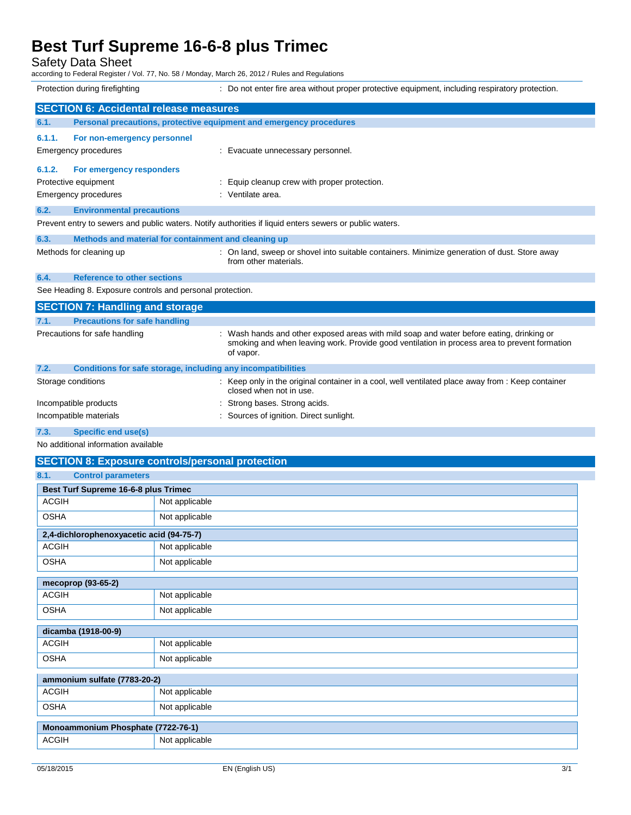Safety Data Sheet

according to Federal Register / Vol. 77, No. 58 / Monday, March 26, 2012 / Rules and Regulations

Protection during firefighting **inter act area** without proper protective equipment, including respiratory protection. **SECTION 6: Accidental release measures 6.1. Personal precautions, protective equipment and emergency procedures 6.1.1. For non-emergency personnel** Emergency procedures **in the case of the Contract Execute** Evacuate unnecessary personnel. **6.1.2. For emergency responders** Protective equipment **Equip COVER 1999** : Equip cleanup crew with proper protection. Emergency procedures in the settlement of the Ventilate area. **6.2. Environmental precautions** Prevent entry to sewers and public waters. Notify authorities if liquid enters sewers or public waters. **6.3. Methods and material for containment and cleaning up** Methods for cleaning up example of the state of land, sweep or shovel into suitable containers. Minimize generation of dust. Store away from other materials. **6.4. Reference to other sections** See Heading 8. Exposure controls and personal protection. **SECTION 7: Handling and storage 7.1. Precautions for safe handling** Precautions for safe handling : Wash hands and other exposed areas with mild soap and water before eating, drinking or smoking and when leaving work. Provide good ventilation in process area to prevent formation of vapor. **7.2. Conditions for safe storage, including any incompatibilities** Storage conditions **in the original container in a cool, well ventilated place away from : Keep container** in a cool, well ventilated place away from : Keep container closed when not in use. Incompatible products in the strong bases. Strong acids. Incompatible materials : Sources of ignition. Direct sunlight. **7.3. Specific end use(s)**

No additional information available

## **SECTION 8: Exposure controls/personal protection**

| 8.1.<br><b>Control parameters</b>    |                                          |  |  |
|--------------------------------------|------------------------------------------|--|--|
| Best Turf Supreme 16-6-8 plus Trimec |                                          |  |  |
| <b>ACGIH</b>                         | Not applicable                           |  |  |
| <b>OSHA</b>                          | Not applicable                           |  |  |
|                                      | 2,4-dichlorophenoxyacetic acid (94-75-7) |  |  |
| <b>ACGIH</b>                         | Not applicable                           |  |  |
| <b>OSHA</b>                          | Not applicable                           |  |  |
| mecoprop (93-65-2)                   |                                          |  |  |
| <b>ACGIH</b>                         | Not applicable                           |  |  |
| <b>OSHA</b>                          | Not applicable                           |  |  |
| dicamba (1918-00-9)                  |                                          |  |  |
| <b>ACGIH</b>                         | Not applicable                           |  |  |
| <b>OSHA</b>                          | Not applicable                           |  |  |
| ammonium sulfate (7783-20-2)         |                                          |  |  |
| <b>ACGIH</b>                         | Not applicable                           |  |  |
| <b>OSHA</b>                          | Not applicable                           |  |  |
| Monoammonium Phosphate (7722-76-1)   |                                          |  |  |
| <b>ACGIH</b>                         | Not applicable                           |  |  |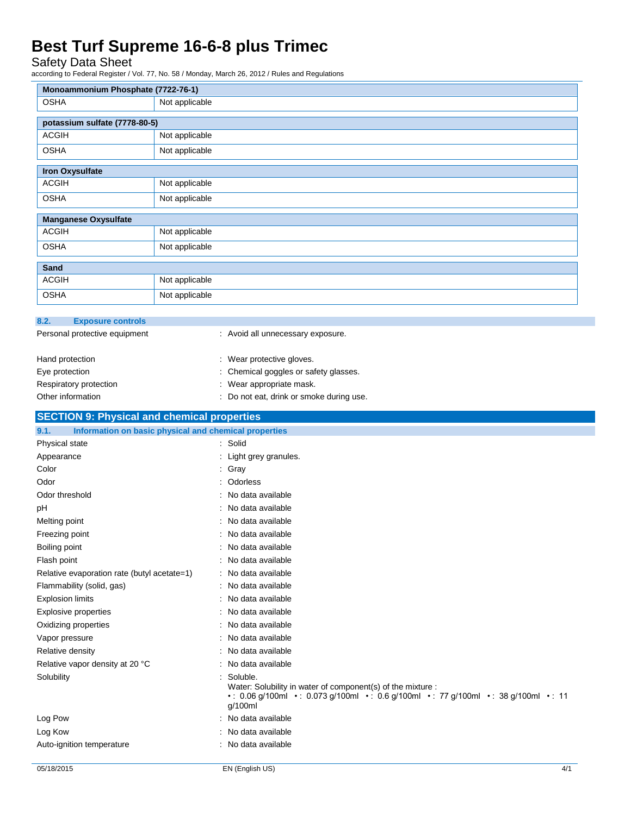Safety Data Sheet

according to Federal Register / Vol. 77, No. 58 / Monday, March 26, 2012 / Rules and Regulations

| Monoammonium Phosphate (7722-76-1)                                                                                                                                                                                                  |                |                                                                                                                                                                           |
|-------------------------------------------------------------------------------------------------------------------------------------------------------------------------------------------------------------------------------------|----------------|---------------------------------------------------------------------------------------------------------------------------------------------------------------------------|
| OSHA                                                                                                                                                                                                                                | Not applicable |                                                                                                                                                                           |
| potassium sulfate (7778-80-5)                                                                                                                                                                                                       |                |                                                                                                                                                                           |
| <b>ACGIH</b>                                                                                                                                                                                                                        | Not applicable |                                                                                                                                                                           |
| <b>OSHA</b>                                                                                                                                                                                                                         | Not applicable |                                                                                                                                                                           |
|                                                                                                                                                                                                                                     |                |                                                                                                                                                                           |
| <b>Iron Oxysulfate</b>                                                                                                                                                                                                              |                |                                                                                                                                                                           |
| <b>ACGIH</b>                                                                                                                                                                                                                        | Not applicable |                                                                                                                                                                           |
| <b>OSHA</b>                                                                                                                                                                                                                         | Not applicable |                                                                                                                                                                           |
| <b>Manganese Oxysulfate</b>                                                                                                                                                                                                         |                |                                                                                                                                                                           |
| <b>ACGIH</b>                                                                                                                                                                                                                        | Not applicable |                                                                                                                                                                           |
| OSHA                                                                                                                                                                                                                                | Not applicable |                                                                                                                                                                           |
|                                                                                                                                                                                                                                     |                |                                                                                                                                                                           |
| Sand                                                                                                                                                                                                                                |                |                                                                                                                                                                           |
| <b>ACGIH</b>                                                                                                                                                                                                                        | Not applicable |                                                                                                                                                                           |
| <b>OSHA</b>                                                                                                                                                                                                                         | Not applicable |                                                                                                                                                                           |
|                                                                                                                                                                                                                                     |                |                                                                                                                                                                           |
| 8.2.<br><b>Exposure controls</b>                                                                                                                                                                                                    |                |                                                                                                                                                                           |
| Personal protective equipment                                                                                                                                                                                                       |                | : Avoid all unnecessary exposure.                                                                                                                                         |
| Hand protection                                                                                                                                                                                                                     |                | : Wear protective gloves.                                                                                                                                                 |
| Eye protection                                                                                                                                                                                                                      |                | : Chemical goggles or safety glasses.                                                                                                                                     |
| Respiratory protection                                                                                                                                                                                                              |                | : Wear appropriate mask.                                                                                                                                                  |
| Other information                                                                                                                                                                                                                   |                | : Do not eat, drink or smoke during use.                                                                                                                                  |
|                                                                                                                                                                                                                                     |                |                                                                                                                                                                           |
| <b>SECTION 9: Physical and chemical properties</b>                                                                                                                                                                                  |                |                                                                                                                                                                           |
| 9.1.<br>Information on basic physical and chemical properties<br>Physical state                                                                                                                                                     |                | : Solid                                                                                                                                                                   |
| Appearance                                                                                                                                                                                                                          |                | : Light grey granules.                                                                                                                                                    |
| Color                                                                                                                                                                                                                               |                |                                                                                                                                                                           |
|                                                                                                                                                                                                                                     |                |                                                                                                                                                                           |
|                                                                                                                                                                                                                                     |                | : Gray                                                                                                                                                                    |
| Odor                                                                                                                                                                                                                                |                | : Odorless                                                                                                                                                                |
| Odor threshold                                                                                                                                                                                                                      |                | : No data available<br>: No data available                                                                                                                                |
| pH                                                                                                                                                                                                                                  |                | : No data available                                                                                                                                                       |
| Melting point                                                                                                                                                                                                                       |                | : No data available                                                                                                                                                       |
| Freezing point<br>Boiling point                                                                                                                                                                                                     |                | No data available                                                                                                                                                         |
| Flash point                                                                                                                                                                                                                         |                | : No data available                                                                                                                                                       |
|                                                                                                                                                                                                                                     |                | : No data available                                                                                                                                                       |
|                                                                                                                                                                                                                                     |                | : No data available                                                                                                                                                       |
|                                                                                                                                                                                                                                     |                | : No data available                                                                                                                                                       |
|                                                                                                                                                                                                                                     |                | : No data available                                                                                                                                                       |
|                                                                                                                                                                                                                                     |                | : No data available                                                                                                                                                       |
|                                                                                                                                                                                                                                     |                | : No data available                                                                                                                                                       |
|                                                                                                                                                                                                                                     |                | : No data available                                                                                                                                                       |
| Relative evaporation rate (butyl acetate=1)<br>Flammability (solid, gas)<br><b>Explosion limits</b><br><b>Explosive properties</b><br>Oxidizing properties<br>Vapor pressure<br>Relative density<br>Relative vapor density at 20 °C |                | : No data available                                                                                                                                                       |
|                                                                                                                                                                                                                                     |                | : Soluble.<br>Water: Solubility in water of component(s) of the mixture :<br>•: 0.06 g/100ml •: 0.073 g/100ml •: 0.6 g/100ml •: 77 g/100ml •: 38 g/100ml •: 11<br>g/100ml |
| Solubility<br>Log Pow                                                                                                                                                                                                               |                | : No data available                                                                                                                                                       |
| Log Kow                                                                                                                                                                                                                             |                | : No data available                                                                                                                                                       |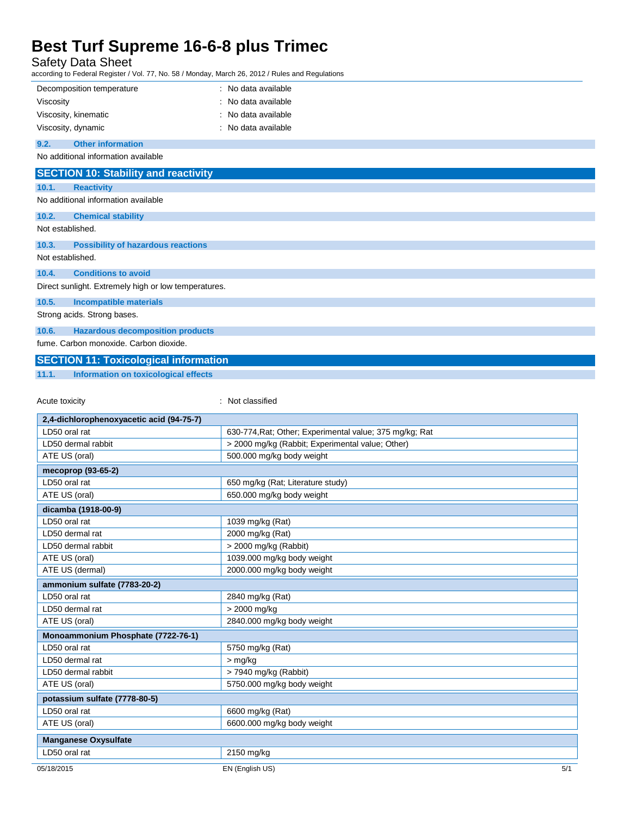Safety Data Sheet

according to Federal Register / Vol. 77, No. 58 / Monday, March 26, 2012 / Rules and Regulations

|                  | Decomposition temperature                            | : No data available |
|------------------|------------------------------------------------------|---------------------|
| Viscosity        |                                                      | : No data available |
|                  | Viscosity, kinematic                                 | : No data available |
|                  | Viscosity, dynamic                                   | : No data available |
| 9.2.             | <b>Other information</b>                             |                     |
|                  | No additional information available                  |                     |
|                  | <b>SECTION 10: Stability and reactivity</b>          |                     |
| 10.1.            | <b>Reactivity</b>                                    |                     |
|                  | No additional information available                  |                     |
| 10.2.            | <b>Chemical stability</b>                            |                     |
| Not established. |                                                      |                     |
| 10.3.            | <b>Possibility of hazardous reactions</b>            |                     |
| Not established. |                                                      |                     |
| 10.4.            | <b>Conditions to avoid</b>                           |                     |
|                  | Direct sunlight. Extremely high or low temperatures. |                     |
| 10.5.            | <b>Incompatible materials</b>                        |                     |
|                  | Strong acids. Strong bases.                          |                     |
| 10.6.            | <b>Hazardous decomposition products</b>              |                     |
|                  | fume. Carbon monoxide. Carbon dioxide.               |                     |
|                  | <b>SECTION 11: Toxicological information</b>         |                     |
| 11.1.            | Information on toxicological effects                 |                     |

Acute toxicity **in the case of the CALIC CONTEX :** Not classified

| 2,4-dichlorophenoxyacetic acid (94-75-7) |                                                         |
|------------------------------------------|---------------------------------------------------------|
| LD50 oral rat                            | 630-774, Rat; Other; Experimental value; 375 mg/kg; Rat |
| LD50 dermal rabbit                       | > 2000 mg/kg (Rabbit; Experimental value; Other)        |
| ATE US (oral)                            | 500.000 mg/kg body weight                               |
| mecoprop (93-65-2)                       |                                                         |
| LD50 oral rat                            | 650 mg/kg (Rat; Literature study)                       |
| ATE US (oral)                            | 650.000 mg/kg body weight                               |
| dicamba (1918-00-9)                      |                                                         |
| LD50 oral rat                            | 1039 mg/kg (Rat)                                        |
| LD50 dermal rat                          | 2000 mg/kg (Rat)                                        |
| LD50 dermal rabbit                       | > 2000 mg/kg (Rabbit)                                   |
| ATE US (oral)                            | 1039.000 mg/kg body weight                              |
| ATE US (dermal)                          | 2000.000 mg/kg body weight                              |
| ammonium sulfate (7783-20-2)             |                                                         |
| LD50 oral rat                            | 2840 mg/kg (Rat)                                        |
| LD50 dermal rat                          | > 2000 mg/kg                                            |
| ATE US (oral)                            | 2840.000 mg/kg body weight                              |
| Monoammonium Phosphate (7722-76-1)       |                                                         |
| LD50 oral rat                            | 5750 mg/kg (Rat)                                        |
| LD50 dermal rat                          | $>$ mg/kg                                               |
| LD50 dermal rabbit                       | > 7940 mg/kg (Rabbit)                                   |
| ATE US (oral)                            | 5750.000 mg/kg body weight                              |
| potassium sulfate (7778-80-5)            |                                                         |
| LD50 oral rat                            | 6600 mg/kg (Rat)                                        |
| ATE US (oral)                            | 6600.000 mg/kg body weight                              |
| <b>Manganese Oxysulfate</b>              |                                                         |
| LD50 oral rat                            | 2150 mg/kg                                              |
| 05/18/2015                               | EN (English US)<br>5/1                                  |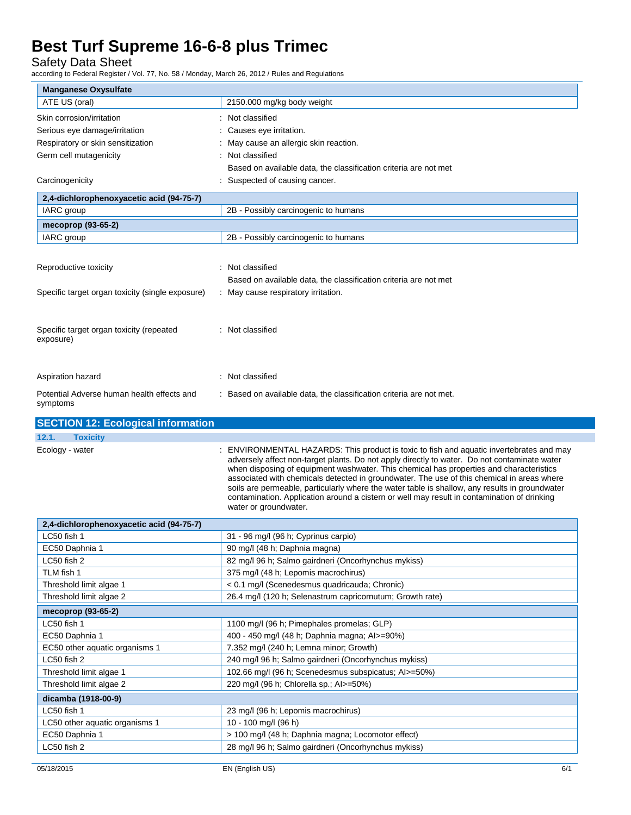Safety Data Sheet

according to Federal Register / Vol. 77, No. 58 / Monday, March 26, 2012 / Rules and Regulations

| <b>Manganese Oxysulfate</b>                      |                                                                                                                                                                                               |
|--------------------------------------------------|-----------------------------------------------------------------------------------------------------------------------------------------------------------------------------------------------|
| ATE US (oral)                                    | 2150.000 mg/kg body weight                                                                                                                                                                    |
| Skin corrosion/irritation                        | : Not classified                                                                                                                                                                              |
| Serious eye damage/irritation                    | : Causes eye irritation.                                                                                                                                                                      |
| Respiratory or skin sensitization                | : May cause an allergic skin reaction.                                                                                                                                                        |
| Germ cell mutagenicity                           | : Not classified                                                                                                                                                                              |
|                                                  | Based on available data, the classification criteria are not met                                                                                                                              |
| Carcinogenicity                                  | : Suspected of causing cancer.                                                                                                                                                                |
|                                                  |                                                                                                                                                                                               |
| 2,4-dichlorophenoxyacetic acid (94-75-7)         | 2B - Possibly carcinogenic to humans                                                                                                                                                          |
| IARC group                                       |                                                                                                                                                                                               |
| mecoprop (93-65-2)                               |                                                                                                                                                                                               |
| IARC group                                       | 2B - Possibly carcinogenic to humans                                                                                                                                                          |
|                                                  |                                                                                                                                                                                               |
| Reproductive toxicity                            | : Not classified                                                                                                                                                                              |
|                                                  | Based on available data, the classification criteria are not met                                                                                                                              |
| Specific target organ toxicity (single exposure) | : May cause respiratory irritation.                                                                                                                                                           |
|                                                  |                                                                                                                                                                                               |
|                                                  |                                                                                                                                                                                               |
| Specific target organ toxicity (repeated         | : Not classified                                                                                                                                                                              |
| exposure)                                        |                                                                                                                                                                                               |
|                                                  |                                                                                                                                                                                               |
|                                                  | : Not classified                                                                                                                                                                              |
| Aspiration hazard                                |                                                                                                                                                                                               |
| Potential Adverse human health effects and       | : Based on available data, the classification criteria are not met.                                                                                                                           |
| symptoms                                         |                                                                                                                                                                                               |
| <b>SECTION 12: Ecological information</b>        |                                                                                                                                                                                               |
|                                                  |                                                                                                                                                                                               |
| <b>Toxicity</b><br>12.1.                         |                                                                                                                                                                                               |
|                                                  | ENVIRONMENTAL HAZARDS: This product is toxic to fish and aquatic invertebrates and may                                                                                                        |
| Ecology - water                                  | adversely affect non-target plants. Do not apply directly to water. Do not contaminate water                                                                                                  |
|                                                  | when disposing of equipment washwater. This chemical has properties and characteristics                                                                                                       |
|                                                  | associated with chemicals detected in groundwater. The use of this chemical in areas where                                                                                                    |
|                                                  | soils are permeable, particularly where the water table is shallow, any results in groundwater<br>contamination. Application around a cistern or well may result in contamination of drinking |
|                                                  | water or groundwater.                                                                                                                                                                         |
| 2,4-dichlorophenoxyacetic acid (94-75-7)         |                                                                                                                                                                                               |
| LC50 fish 1                                      | 31 - 96 mg/l (96 h; Cyprinus carpio)                                                                                                                                                          |
| EC50 Daphnia 1                                   | 90 mg/l (48 h; Daphnia magna)                                                                                                                                                                 |
| LC50 fish 2                                      | 82 mg/l 96 h; Salmo gairdneri (Oncorhynchus mykiss)                                                                                                                                           |
| TLM fish 1                                       | 375 mg/l (48 h; Lepomis macrochirus)                                                                                                                                                          |
| Threshold limit algae 1                          | < 0.1 mg/l (Scenedesmus quadricauda; Chronic)                                                                                                                                                 |
| Threshold limit algae 2                          | 26.4 mg/l (120 h; Selenastrum capricornutum; Growth rate)                                                                                                                                     |
| mecoprop (93-65-2)                               |                                                                                                                                                                                               |
| LC50 fish 1                                      | 1100 mg/l (96 h; Pimephales promelas; GLP)                                                                                                                                                    |
| EC50 Daphnia 1                                   | 400 - 450 mg/l (48 h; Daphnia magna; Al>=90%)                                                                                                                                                 |
| EC50 other aquatic organisms 1                   | 7.352 mg/l (240 h; Lemna minor; Growth)                                                                                                                                                       |
| LC50 fish 2                                      | 240 mg/l 96 h; Salmo gairdneri (Oncorhynchus mykiss)                                                                                                                                          |
| Threshold limit algae 1                          | 102.66 mg/l (96 h; Scenedesmus subspicatus; Al>=50%)                                                                                                                                          |
| Threshold limit algae 2                          | 220 mg/l (96 h; Chlorella sp.; Al>=50%)                                                                                                                                                       |
|                                                  |                                                                                                                                                                                               |
| dicamba (1918-00-9)<br>LC50 fish 1               | 23 mg/l (96 h; Lepomis macrochirus)                                                                                                                                                           |
| LC50 other aquatic organisms 1                   | 10 - 100 mg/l (96 h)                                                                                                                                                                          |
| EC50 Daphnia 1                                   | > 100 mg/l (48 h; Daphnia magna; Locomotor effect)                                                                                                                                            |
| LC50 fish 2                                      | 28 mg/l 96 h; Salmo gairdneri (Oncorhynchus mykiss)                                                                                                                                           |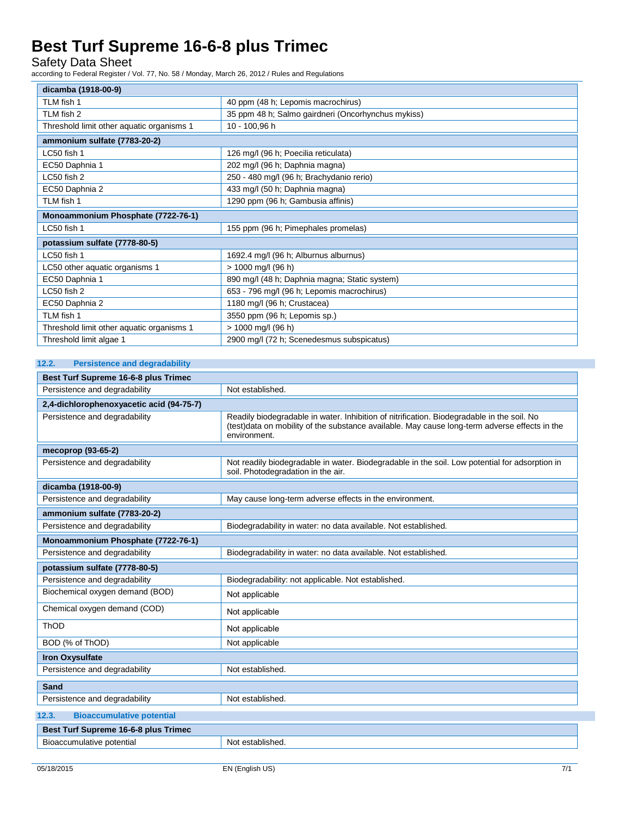Safety Data Sheet

according to Federal Register / Vol. 77, No. 58 / Monday, March 26, 2012 / Rules and Regulations

| dicamba (1918-00-9)                       |                                                    |  |
|-------------------------------------------|----------------------------------------------------|--|
| TLM fish 1                                | 40 ppm (48 h; Lepomis macrochirus)                 |  |
| TLM fish 2                                | 35 ppm 48 h; Salmo gairdneri (Oncorhynchus mykiss) |  |
| Threshold limit other aquatic organisms 1 | 10 - 100,96 h                                      |  |
| ammonium sulfate (7783-20-2)              |                                                    |  |
| LC50 fish 1                               | 126 mg/l (96 h; Poecilia reticulata)               |  |
| EC50 Daphnia 1                            | 202 mg/l (96 h; Daphnia magna)                     |  |
| LC50 fish 2                               | 250 - 480 mg/l (96 h; Brachydanio rerio)           |  |
| EC50 Daphnia 2                            | 433 mg/l (50 h; Daphnia magna)                     |  |
| TLM fish 1                                | 1290 ppm (96 h; Gambusia affinis)                  |  |
| Monoammonium Phosphate (7722-76-1)        |                                                    |  |
| LC50 fish 1                               | 155 ppm (96 h; Pimephales promelas)                |  |
| potassium sulfate (7778-80-5)             |                                                    |  |
| LC50 fish 1                               | 1692.4 mg/l (96 h; Alburnus alburnus)              |  |
| LC50 other aquatic organisms 1            | > 1000 mg/l (96 h)                                 |  |
| EC50 Daphnia 1                            | 890 mg/l (48 h; Daphnia magna; Static system)      |  |
| LC50 fish 2                               | 653 - 796 mg/l (96 h; Lepomis macrochirus)         |  |
| EC50 Daphnia 2                            | 1180 mg/l (96 h; Crustacea)                        |  |
| TLM fish 1                                | 3550 ppm (96 h; Lepomis sp.)                       |  |
| Threshold limit other aquatic organisms 1 | > 1000 mg/l (96 h)                                 |  |
| Threshold limit algae 1                   | 2900 mg/l (72 h; Scenedesmus subspicatus)          |  |

### **12.2. Persistence and degradability**

| Best Turf Supreme 16-6-8 plus Trimec      |                                                                                                                                                                                                             |  |
|-------------------------------------------|-------------------------------------------------------------------------------------------------------------------------------------------------------------------------------------------------------------|--|
| Persistence and degradability             | Not established.                                                                                                                                                                                            |  |
| 2,4-dichlorophenoxyacetic acid (94-75-7)  |                                                                                                                                                                                                             |  |
| Persistence and degradability             | Readily biodegradable in water. Inhibition of nitrification. Biodegradable in the soil. No<br>(test)data on mobility of the substance available. May cause long-term adverse effects in the<br>environment. |  |
| mecoprop (93-65-2)                        |                                                                                                                                                                                                             |  |
| Persistence and degradability             | Not readily biodegradable in water. Biodegradable in the soil. Low potential for adsorption in<br>soil. Photodegradation in the air.                                                                        |  |
| dicamba (1918-00-9)                       |                                                                                                                                                                                                             |  |
| Persistence and degradability             | May cause long-term adverse effects in the environment.                                                                                                                                                     |  |
| ammonium sulfate (7783-20-2)              |                                                                                                                                                                                                             |  |
| Persistence and degradability             | Biodegradability in water: no data available. Not established.                                                                                                                                              |  |
| Monoammonium Phosphate (7722-76-1)        |                                                                                                                                                                                                             |  |
| Persistence and degradability             | Biodegradability in water: no data available. Not established.                                                                                                                                              |  |
| potassium sulfate (7778-80-5)             |                                                                                                                                                                                                             |  |
| Persistence and degradability             | Biodegradability: not applicable. Not established.                                                                                                                                                          |  |
| Biochemical oxygen demand (BOD)           | Not applicable                                                                                                                                                                                              |  |
| Chemical oxygen demand (COD)              | Not applicable                                                                                                                                                                                              |  |
| ThOD                                      | Not applicable                                                                                                                                                                                              |  |
| BOD (% of ThOD)                           | Not applicable                                                                                                                                                                                              |  |
| <b>Iron Oxysulfate</b>                    |                                                                                                                                                                                                             |  |
| Persistence and degradability             | Not established.                                                                                                                                                                                            |  |
| Sand                                      |                                                                                                                                                                                                             |  |
| Persistence and degradability             | Not established.                                                                                                                                                                                            |  |
| <b>Bioaccumulative potential</b><br>12.3. |                                                                                                                                                                                                             |  |
| Best Turf Supreme 16-6-8 plus Trimec      |                                                                                                                                                                                                             |  |
| Bioaccumulative potential                 | Not established.                                                                                                                                                                                            |  |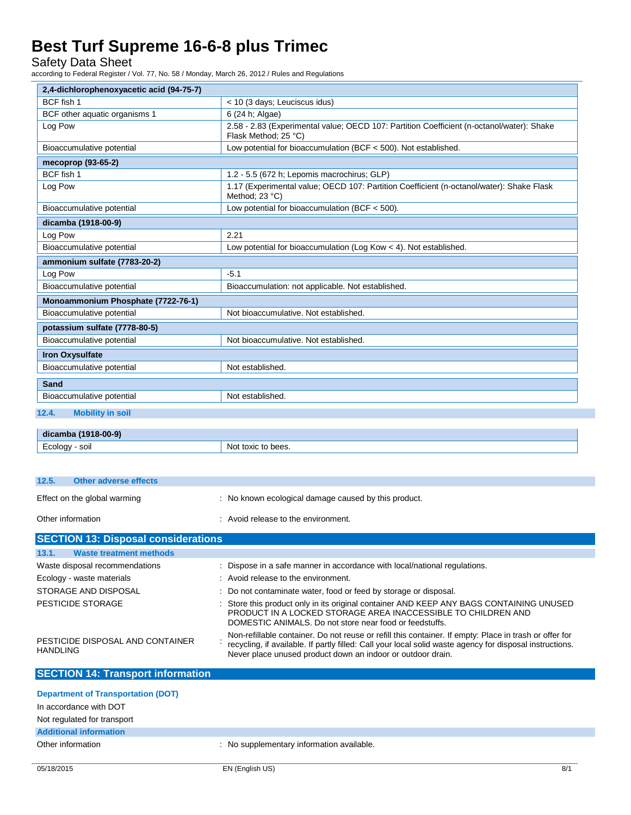Safety Data Sheet

according to Federal Register / Vol. 77, No. 58 / Monday, March 26, 2012 / Rules and Regulations

| 2,4-dichlorophenoxyacetic acid (94-75-7) |                                                                                                                   |  |
|------------------------------------------|-------------------------------------------------------------------------------------------------------------------|--|
| BCF fish 1                               | < 10 (3 days; Leuciscus idus)                                                                                     |  |
| BCF other aquatic organisms 1            | 6 (24 h; Algae)                                                                                                   |  |
| Log Pow                                  | 2.58 - 2.83 (Experimental value; OECD 107: Partition Coefficient (n-octanol/water): Shake<br>Flask Method; 25 °C) |  |
| Bioaccumulative potential                | Low potential for bioaccumulation (BCF < 500). Not established.                                                   |  |
| mecoprop (93-65-2)                       |                                                                                                                   |  |
| BCF fish 1                               | 1.2 - 5.5 (672 h; Lepomis macrochirus; GLP)                                                                       |  |
| Log Pow                                  | 1.17 (Experimental value; OECD 107: Partition Coefficient (n-octanol/water): Shake Flask<br>Method; 23 °C)        |  |
| Bioaccumulative potential                | Low potential for bioaccumulation (BCF $<$ 500).                                                                  |  |
| dicamba (1918-00-9)                      |                                                                                                                   |  |
| Log Pow                                  | 2.21                                                                                                              |  |
| Bioaccumulative potential                | Low potential for bioaccumulation (Log Kow < 4). Not established.                                                 |  |
| ammonium sulfate (7783-20-2)             |                                                                                                                   |  |
| Log Pow                                  | $-5.1$                                                                                                            |  |
| Bioaccumulative potential                | Bioaccumulation: not applicable. Not established.                                                                 |  |
| Monoammonium Phosphate (7722-76-1)       |                                                                                                                   |  |
| Bioaccumulative potential                | Not bioaccumulative. Not established.                                                                             |  |
| potassium sulfate (7778-80-5)            |                                                                                                                   |  |
| Bioaccumulative potential                | Not bioaccumulative. Not established.                                                                             |  |
| <b>Iron Oxysulfate</b>                   |                                                                                                                   |  |
| Bioaccumulative potential                | Not established.                                                                                                  |  |
| Sand                                     |                                                                                                                   |  |
| Bioaccumulative potential                | Not established.                                                                                                  |  |
| <b>Mobility in soil</b><br>12.4.         |                                                                                                                   |  |
|                                          |                                                                                                                   |  |

| 18.00.91<br>00.<br><b>CHIC</b>                                              |                  |
|-----------------------------------------------------------------------------|------------------|
| $\overline{\phantom{0}}$<br>$\sim$<br>11<br>SUI.<br>----<br>$\cdot$ .<br>-- | pees.<br>Nr<br>. |

| Other information                     | : Avoid release to the environment.                  |
|---------------------------------------|------------------------------------------------------|
|                                       |                                                      |
| Effect on the global warming          | : No known ecological damage caused by this product. |
| 12.5.<br><b>Other adverse effects</b> |                                                      |

| 13.1.<br><b>Waste treatment methods</b>             |                                                                                                                                                                                                                                                                                   |
|-----------------------------------------------------|-----------------------------------------------------------------------------------------------------------------------------------------------------------------------------------------------------------------------------------------------------------------------------------|
| Waste disposal recommendations                      | : Dispose in a safe manner in accordance with local/national regulations.                                                                                                                                                                                                         |
| Ecology - waste materials                           | : Avoid release to the environment.                                                                                                                                                                                                                                               |
| STORAGE AND DISPOSAL                                | : Do not contaminate water, food or feed by storage or disposal.                                                                                                                                                                                                                  |
| PESTICIDE STORAGE                                   | : Store this product only in its original container AND KEEP ANY BAGS CONTAINING UNUSED<br>PRODUCT IN A LOCKED STORAGE AREA INACCESSIBLE TO CHILDREN AND<br>DOMESTIC ANIMALS. Do not store near food or feedstuffs.                                                               |
| PESTICIDE DISPOSAL AND CONTAINER<br><b>HANDLING</b> | Non-refillable container. Do not reuse or refill this container. If empty: Place in trash or offer for<br>recycling, if available. If partly filled: Call your local solid waste agency for disposal instructions.<br>Never place unused product down an indoor or outdoor drain. |

# **SECTION 14: Transport information**

| <b>Department of Transportation (DOT)</b> |                                           |
|-------------------------------------------|-------------------------------------------|
| In accordance with DOT                    |                                           |
| Not regulated for transport               |                                           |
| <b>Additional information</b>             |                                           |
| Other information                         | : No supplementary information available. |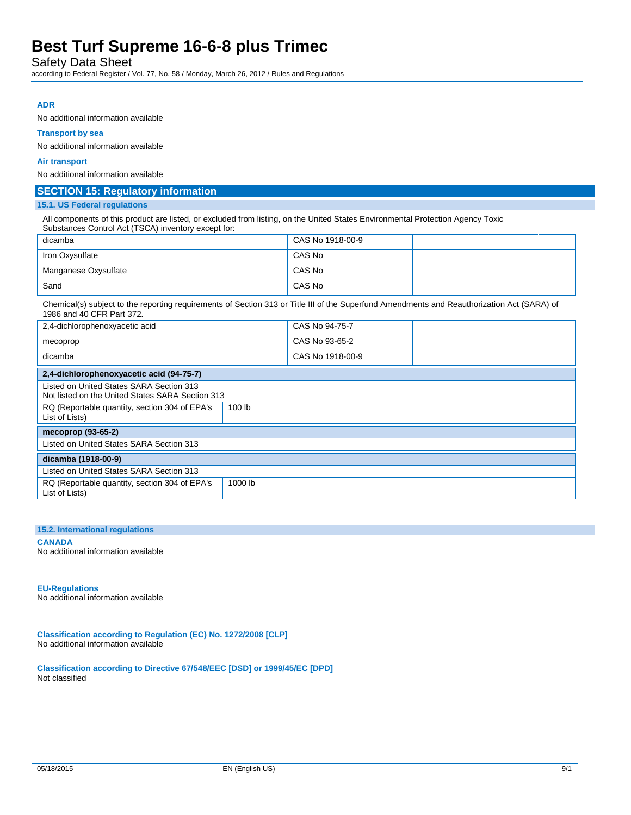Safety Data Sheet

according to Federal Register / Vol. 77, No. 58 / Monday, March 26, 2012 / Rules and Regulations

### **ADR**

No additional information available

#### **Transport by sea**

No additional information available

#### **Air transport**

No additional information available

### **SECTION 15: Regulatory information**

#### **15.1. US Federal regulations**

All components of this product are listed, or excluded from listing, on the United States Environmental Protection Agency Toxic Substances Control Act (TSCA) inventory except for:

| dicamba              | CAS No 1918-00-9 |  |
|----------------------|------------------|--|
| Iron Oxysulfate      | CAS No           |  |
| Manganese Oxysulfate | CAS No           |  |
| Sand                 | CAS No           |  |

Chemical(s) subject to the reporting requirements of Section 313 or Title III of the Superfund Amendments and Reauthorization Act (SARA) of 1986 and 40 CFR Part 372.

| 2,4-dichlorophenoxyacetic acid                                                               |         | CAS No 94-75-7   |  |
|----------------------------------------------------------------------------------------------|---------|------------------|--|
| mecoprop                                                                                     |         | CAS No 93-65-2   |  |
| dicamba                                                                                      |         | CAS No 1918-00-9 |  |
| 2,4-dichlorophenoxyacetic acid (94-75-7)                                                     |         |                  |  |
| Listed on United States SARA Section 313<br>Not listed on the United States SARA Section 313 |         |                  |  |
| RQ (Reportable quantity, section 304 of EPA's<br>List of Lists)                              | 100 lb  |                  |  |
| mecoprop (93-65-2)                                                                           |         |                  |  |
| Listed on United States SARA Section 313                                                     |         |                  |  |
| dicamba (1918-00-9)                                                                          |         |                  |  |
| Listed on United States SARA Section 313                                                     |         |                  |  |
| RQ (Reportable quantity, section 304 of EPA's<br>List of Lists)                              | 1000 lb |                  |  |

#### **15.2. International regulations**

**CANADA** No additional information available

#### **EU-Regulations**

No additional information available

**Classification according to Regulation (EC) No. 1272/2008 [CLP]** No additional information available

**Classification according to Directive 67/548/EEC [DSD] or 1999/45/EC [DPD]** Not classified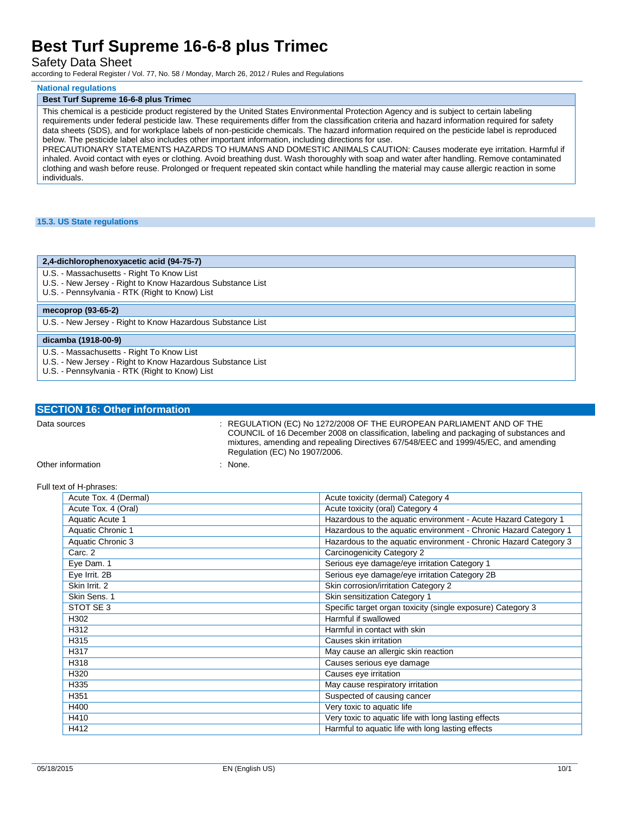### Safety Data Sheet

according to Federal Register / Vol. 77, No. 58 / Monday, March 26, 2012 / Rules and Regulations

#### **National regulations**

#### **Best Turf Supreme 16-6-8 plus Trimec**

This chemical is a pesticide product registered by the United States Environmental Protection Agency and is subject to certain labeling requirements under federal pesticide law. These requirements differ from the classification criteria and hazard information required for safety data sheets (SDS), and for workplace labels of non-pesticide chemicals. The hazard information required on the pesticide label is reproduced below. The pesticide label also includes other important information, including directions for use.

PRECAUTIONARY STATEMENTS HAZARDS TO HUMANS AND DOMESTIC ANIMALS CAUTION: Causes moderate eye irritation. Harmful if inhaled. Avoid contact with eyes or clothing. Avoid breathing dust. Wash thoroughly with soap and water after handling. Remove contaminated clothing and wash before reuse. Prolonged or frequent repeated skin contact while handling the material may cause allergic reaction in some individuals.

#### **15.3. US State regulations**

#### **2,4-dichlorophenoxyacetic acid (94-75-7)**

- U.S. Massachusetts Right To Know List
- U.S. New Jersey Right to Know Hazardous Substance List
- U.S. Pennsylvania RTK (Right to Know) List

## **mecoprop (93-65-2)**

U.S. - New Jersey - Right to Know Hazardous Substance List

#### **dicamba (1918-00-9)**

- U.S. Massachusetts Right To Know List
- U.S. New Jersey Right to Know Hazardous Substance List
- U.S. Pennsylvania RTK (Right to Know) List

| <b>SECTION 16: Other information</b> |                                                                                                                                                                                                                                                        |
|--------------------------------------|--------------------------------------------------------------------------------------------------------------------------------------------------------------------------------------------------------------------------------------------------------|
| Data sources                         | : REGULATION (EC) No 1272/2008 OF THE EUROPEAN PARLIAMENT AND OF THE<br>COUNCIL of 16 December 2008 on classification, labeling and packaging of substances and<br>mixtures, amending and repealing Directives 67/548/EEC and 1999/45/EC, and amending |

Regulation (EC) No 1907/2006.

Other information : None.

#### Full text of H-phrases:

| Acute Tox. 4 (Dermal) | Acute toxicity (dermal) Category 4                               |
|-----------------------|------------------------------------------------------------------|
| Acute Tox. 4 (Oral)   | Acute toxicity (oral) Category 4                                 |
| Aquatic Acute 1       | Hazardous to the aquatic environment - Acute Hazard Category 1   |
| Aquatic Chronic 1     | Hazardous to the aquatic environment - Chronic Hazard Category 1 |
| Aquatic Chronic 3     | Hazardous to the aquatic environment - Chronic Hazard Category 3 |
| Carc. 2               | Carcinogenicity Category 2                                       |
| Eye Dam. 1            | Serious eye damage/eye irritation Category 1                     |
| Eye Irrit. 2B         | Serious eye damage/eye irritation Category 2B                    |
| Skin Irrit. 2         | Skin corrosion/irritation Category 2                             |
| Skin Sens. 1          | Skin sensitization Category 1                                    |
| STOT SE 3             | Specific target organ toxicity (single exposure) Category 3      |
| H302                  | Harmful if swallowed                                             |
| H312                  | Harmful in contact with skin                                     |
| H315                  | Causes skin irritation                                           |
| H317                  | May cause an allergic skin reaction                              |
| H318                  | Causes serious eye damage                                        |
| H320                  | Causes eye irritation                                            |
| H335                  | May cause respiratory irritation                                 |
| H351                  | Suspected of causing cancer                                      |
| H400                  | Very toxic to aquatic life                                       |
| H410                  | Very toxic to aquatic life with long lasting effects             |
| H412                  | Harmful to aquatic life with long lasting effects                |
|                       |                                                                  |